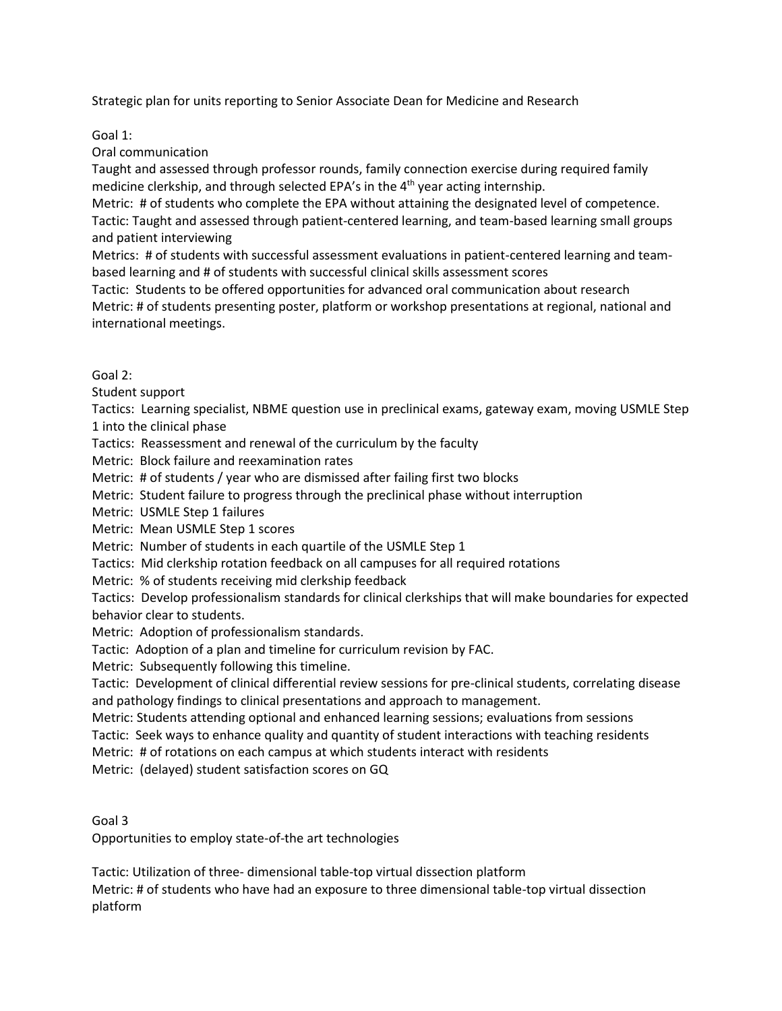Strategic plan for units reporting to Senior Associate Dean for Medicine and Research

Goal 1:

Oral communication

Taught and assessed through professor rounds, family connection exercise during required family medicine clerkship, and through selected EPA's in the 4<sup>th</sup> year acting internship.

Metric: # of students who complete the EPA without attaining the designated level of competence. Tactic: Taught and assessed through patient-centered learning, and team-based learning small groups and patient interviewing

Metrics: # of students with successful assessment evaluations in patient-centered learning and teambased learning and # of students with successful clinical skills assessment scores

Tactic: Students to be offered opportunities for advanced oral communication about research Metric: # of students presenting poster, platform or workshop presentations at regional, national and international meetings.

## Goal 2:

Student support

Tactics: Learning specialist, NBME question use in preclinical exams, gateway exam, moving USMLE Step 1 into the clinical phase

Tactics: Reassessment and renewal of the curriculum by the faculty

Metric: Block failure and reexamination rates

Metric: # of students / year who are dismissed after failing first two blocks

Metric: Student failure to progress through the preclinical phase without interruption

Metric: USMLE Step 1 failures

Metric: Mean USMLE Step 1 scores

Metric: Number of students in each quartile of the USMLE Step 1

Tactics: Mid clerkship rotation feedback on all campuses for all required rotations

Metric: % of students receiving mid clerkship feedback

Tactics: Develop professionalism standards for clinical clerkships that will make boundaries for expected behavior clear to students.

Metric: Adoption of professionalism standards.

Tactic: Adoption of a plan and timeline for curriculum revision by FAC.

Metric: Subsequently following this timeline.

Tactic: Development of clinical differential review sessions for pre-clinical students, correlating disease and pathology findings to clinical presentations and approach to management.

Metric: Students attending optional and enhanced learning sessions; evaluations from sessions

Tactic: Seek ways to enhance quality and quantity of student interactions with teaching residents

Metric: # of rotations on each campus at which students interact with residents

Metric: (delayed) student satisfaction scores on GQ

Goal 3

Opportunities to employ state-of-the art technologies

Tactic: Utilization of three- dimensional table-top virtual dissection platform

Metric: # of students who have had an exposure to three dimensional table-top virtual dissection platform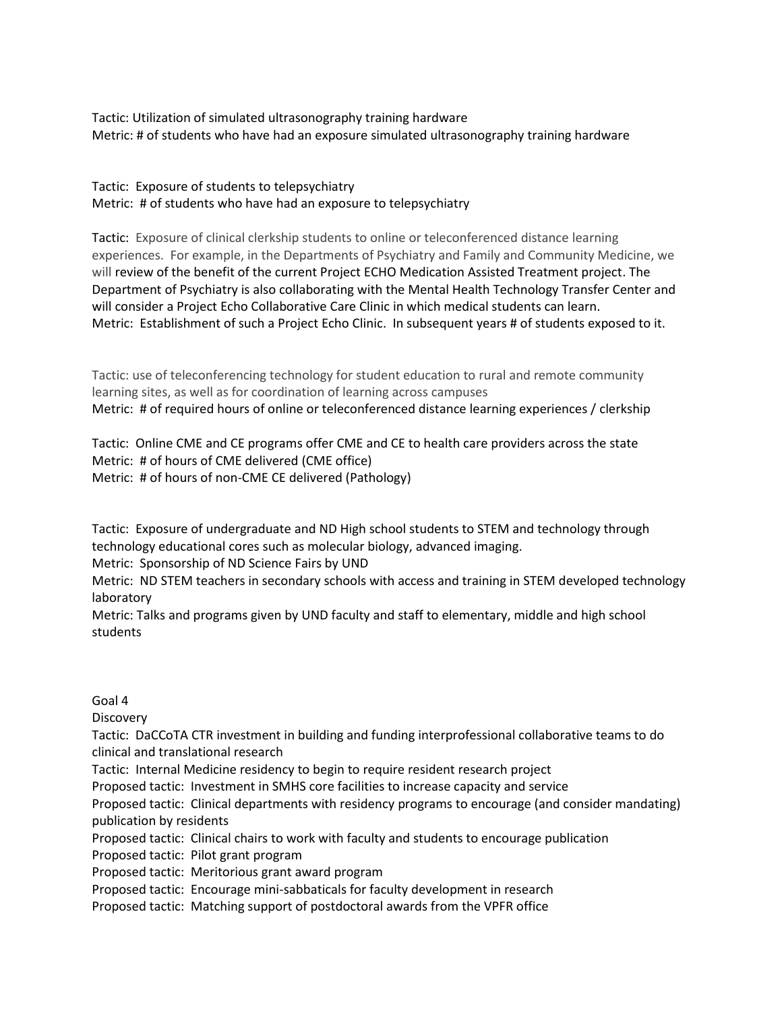Tactic: Utilization of simulated ultrasonography training hardware Metric: # of students who have had an exposure simulated ultrasonography training hardware

Tactic: Exposure of students to telepsychiatry Metric: # of students who have had an exposure to telepsychiatry

Tactic: Exposure of clinical clerkship students to online or teleconferenced distance learning experiences. For example, in the Departments of Psychiatry and Family and Community Medicine, we will review of the benefit of the current Project ECHO Medication Assisted Treatment project. The Department of Psychiatry is also collaborating with the Mental Health Technology Transfer Center and will consider a Project Echo Collaborative Care Clinic in which medical students can learn. Metric: Establishment of such a Project Echo Clinic. In subsequent years # of students exposed to it.

Tactic: use of teleconferencing technology for student education to rural and remote community learning sites, as well as for coordination of learning across campuses Metric: # of required hours of online or teleconferenced distance learning experiences / clerkship

Tactic: Online CME and CE programs offer CME and CE to health care providers across the state Metric: # of hours of CME delivered (CME office) Metric: # of hours of non-CME CE delivered (Pathology)

Tactic: Exposure of undergraduate and ND High school students to STEM and technology through technology educational cores such as molecular biology, advanced imaging.

Metric: Sponsorship of ND Science Fairs by UND

Metric: ND STEM teachers in secondary schools with access and training in STEM developed technology laboratory

Metric: Talks and programs given by UND faculty and staff to elementary, middle and high school students

Goal 4

**Discovery** 

Tactic: DaCCoTA CTR investment in building and funding interprofessional collaborative teams to do clinical and translational research

Tactic: Internal Medicine residency to begin to require resident research project

Proposed tactic: Investment in SMHS core facilities to increase capacity and service

Proposed tactic: Clinical departments with residency programs to encourage (and consider mandating) publication by residents

Proposed tactic: Clinical chairs to work with faculty and students to encourage publication

Proposed tactic: Pilot grant program

Proposed tactic: Meritorious grant award program

Proposed tactic: Encourage mini-sabbaticals for faculty development in research

Proposed tactic: Matching support of postdoctoral awards from the VPFR office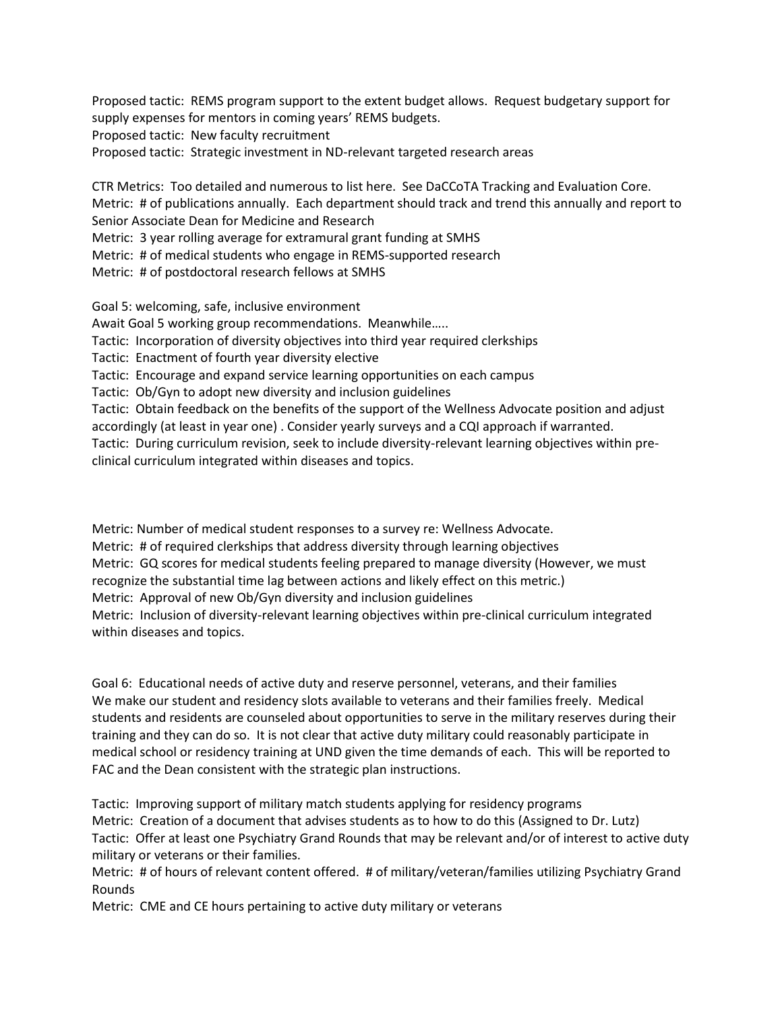Proposed tactic: REMS program support to the extent budget allows. Request budgetary support for supply expenses for mentors in coming years' REMS budgets. Proposed tactic: New faculty recruitment Proposed tactic: Strategic investment in ND-relevant targeted research areas

CTR Metrics: Too detailed and numerous to list here. See DaCCoTA Tracking and Evaluation Core. Metric: # of publications annually. Each department should track and trend this annually and report to Senior Associate Dean for Medicine and Research Metric: 3 year rolling average for extramural grant funding at SMHS

Metric: # of medical students who engage in REMS-supported research

Metric: # of postdoctoral research fellows at SMHS

Goal 5: welcoming, safe, inclusive environment Await Goal 5 working group recommendations. Meanwhile….. Tactic: Incorporation of diversity objectives into third year required clerkships Tactic: Enactment of fourth year diversity elective Tactic: Encourage and expand service learning opportunities on each campus Tactic: Ob/Gyn to adopt new diversity and inclusion guidelines Tactic: Obtain feedback on the benefits of the support of the Wellness Advocate position and adjust accordingly (at least in year one) . Consider yearly surveys and a CQI approach if warranted. Tactic: During curriculum revision, seek to include diversity-relevant learning objectives within preclinical curriculum integrated within diseases and topics.

Metric: Number of medical student responses to a survey re: Wellness Advocate. Metric: # of required clerkships that address diversity through learning objectives Metric: GQ scores for medical students feeling prepared to manage diversity (However, we must recognize the substantial time lag between actions and likely effect on this metric.) Metric: Approval of new Ob/Gyn diversity and inclusion guidelines Metric: Inclusion of diversity-relevant learning objectives within pre-clinical curriculum integrated within diseases and topics.

Goal 6: Educational needs of active duty and reserve personnel, veterans, and their families We make our student and residency slots available to veterans and their families freely. Medical students and residents are counseled about opportunities to serve in the military reserves during their training and they can do so. It is not clear that active duty military could reasonably participate in medical school or residency training at UND given the time demands of each. This will be reported to FAC and the Dean consistent with the strategic plan instructions.

Tactic: Improving support of military match students applying for residency programs Metric: Creation of a document that advises students as to how to do this (Assigned to Dr. Lutz) Tactic: Offer at least one Psychiatry Grand Rounds that may be relevant and/or of interest to active duty military or veterans or their families.

Metric: # of hours of relevant content offered. # of military/veteran/families utilizing Psychiatry Grand Rounds

Metric: CME and CE hours pertaining to active duty military or veterans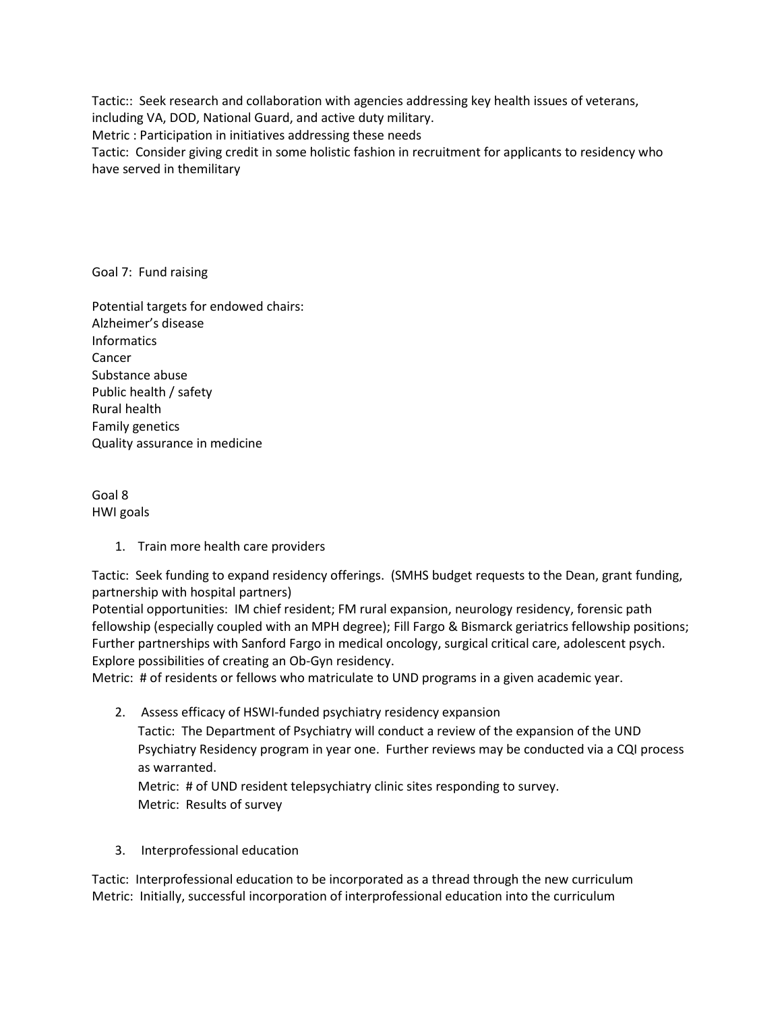Tactic:: Seek research and collaboration with agencies addressing key health issues of veterans, including VA, DOD, National Guard, and active duty military. Metric : Participation in initiatives addressing these needs

Tactic: Consider giving credit in some holistic fashion in recruitment for applicants to residency who have served in themilitary

Goal 7: Fund raising

Potential targets for endowed chairs: Alzheimer's disease **Informatics** Cancer Substance abuse Public health / safety Rural health Family genetics Quality assurance in medicine

Goal 8 HWI goals

1. Train more health care providers

Tactic: Seek funding to expand residency offerings. (SMHS budget requests to the Dean, grant funding, partnership with hospital partners)

Potential opportunities: IM chief resident; FM rural expansion, neurology residency, forensic path fellowship (especially coupled with an MPH degree); Fill Fargo & Bismarck geriatrics fellowship positions; Further partnerships with Sanford Fargo in medical oncology, surgical critical care, adolescent psych. Explore possibilities of creating an Ob-Gyn residency.

Metric: # of residents or fellows who matriculate to UND programs in a given academic year.

2. Assess efficacy of HSWI-funded psychiatry residency expansion Tactic: The Department of Psychiatry will conduct a review of the expansion of the UND Psychiatry Residency program in year one. Further reviews may be conducted via a CQI process as warranted. Metric: # of UND resident telepsychiatry clinic sites responding to survey.

Metric: Results of survey

3. Interprofessional education

Tactic: Interprofessional education to be incorporated as a thread through the new curriculum Metric: Initially, successful incorporation of interprofessional education into the curriculum